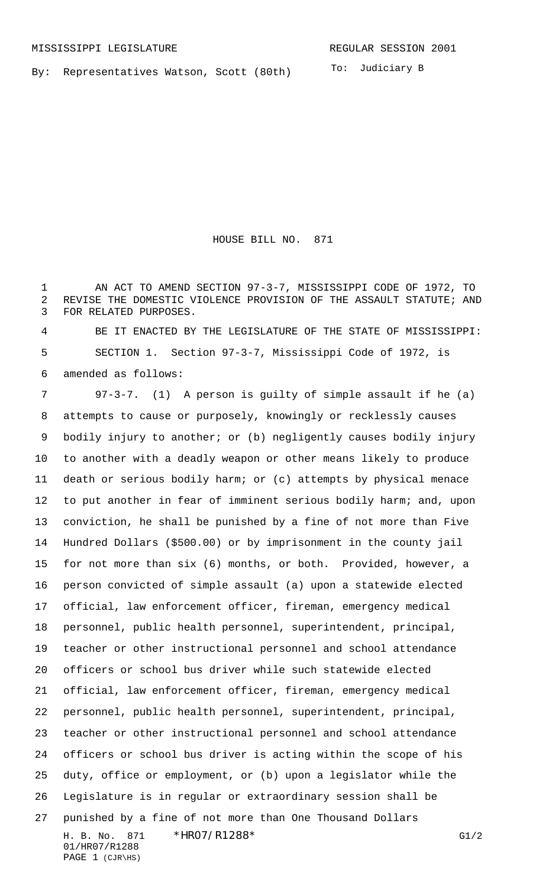By: Representatives Watson, Scott (80th)

To: Judiciary B

HOUSE BILL NO. 871

1 AN ACT TO AMEND SECTION 97-3-7, MISSISSIPPI CODE OF 1972, TO REVISE THE DOMESTIC VIOLENCE PROVISION OF THE ASSAULT STATUTE; AND FOR RELATED PURPOSES.

 BE IT ENACTED BY THE LEGISLATURE OF THE STATE OF MISSISSIPPI: SECTION 1. Section 97-3-7, Mississippi Code of 1972, is amended as follows:

H. B. No. 871 \* HRO7/R1288\* G1/2 01/HR07/R1288 97-3-7. (1) A person is guilty of simple assault if he (a) attempts to cause or purposely, knowingly or recklessly causes bodily injury to another; or (b) negligently causes bodily injury to another with a deadly weapon or other means likely to produce death or serious bodily harm; or (c) attempts by physical menace to put another in fear of imminent serious bodily harm; and, upon conviction, he shall be punished by a fine of not more than Five Hundred Dollars (\$500.00) or by imprisonment in the county jail for not more than six (6) months, or both. Provided, however, a person convicted of simple assault (a) upon a statewide elected official, law enforcement officer, fireman, emergency medical personnel, public health personnel, superintendent, principal, teacher or other instructional personnel and school attendance officers or school bus driver while such statewide elected official, law enforcement officer, fireman, emergency medical personnel, public health personnel, superintendent, principal, teacher or other instructional personnel and school attendance officers or school bus driver is acting within the scope of his duty, office or employment, or (b) upon a legislator while the Legislature is in regular or extraordinary session shall be punished by a fine of not more than One Thousand Dollars

```
PAGE 1 (CJR\HS)
```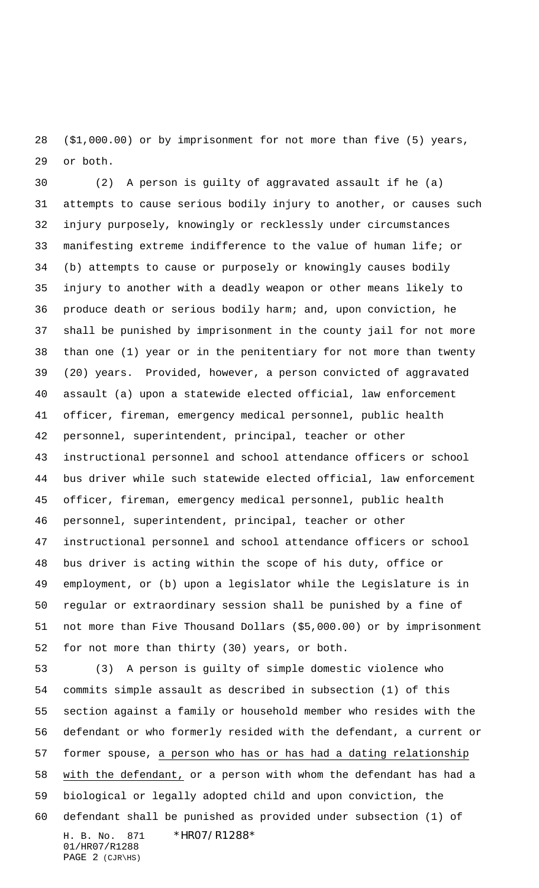(\$1,000.00) or by imprisonment for not more than five (5) years, or both.

 (2) A person is guilty of aggravated assault if he (a) attempts to cause serious bodily injury to another, or causes such injury purposely, knowingly or recklessly under circumstances manifesting extreme indifference to the value of human life; or (b) attempts to cause or purposely or knowingly causes bodily injury to another with a deadly weapon or other means likely to produce death or serious bodily harm; and, upon conviction, he shall be punished by imprisonment in the county jail for not more than one (1) year or in the penitentiary for not more than twenty (20) years. Provided, however, a person convicted of aggravated assault (a) upon a statewide elected official, law enforcement officer, fireman, emergency medical personnel, public health personnel, superintendent, principal, teacher or other instructional personnel and school attendance officers or school bus driver while such statewide elected official, law enforcement officer, fireman, emergency medical personnel, public health personnel, superintendent, principal, teacher or other instructional personnel and school attendance officers or school bus driver is acting within the scope of his duty, office or employment, or (b) upon a legislator while the Legislature is in regular or extraordinary session shall be punished by a fine of not more than Five Thousand Dollars (\$5,000.00) or by imprisonment for not more than thirty (30) years, or both.

H. B. No. 871 \*HR07/R1288\* 01/HR07/R1288 PAGE 2 (CJR\HS) (3) A person is guilty of simple domestic violence who commits simple assault as described in subsection (1) of this section against a family or household member who resides with the defendant or who formerly resided with the defendant, a current or former spouse, a person who has or has had a dating relationship with the defendant, or a person with whom the defendant has had a biological or legally adopted child and upon conviction, the defendant shall be punished as provided under subsection (1) of